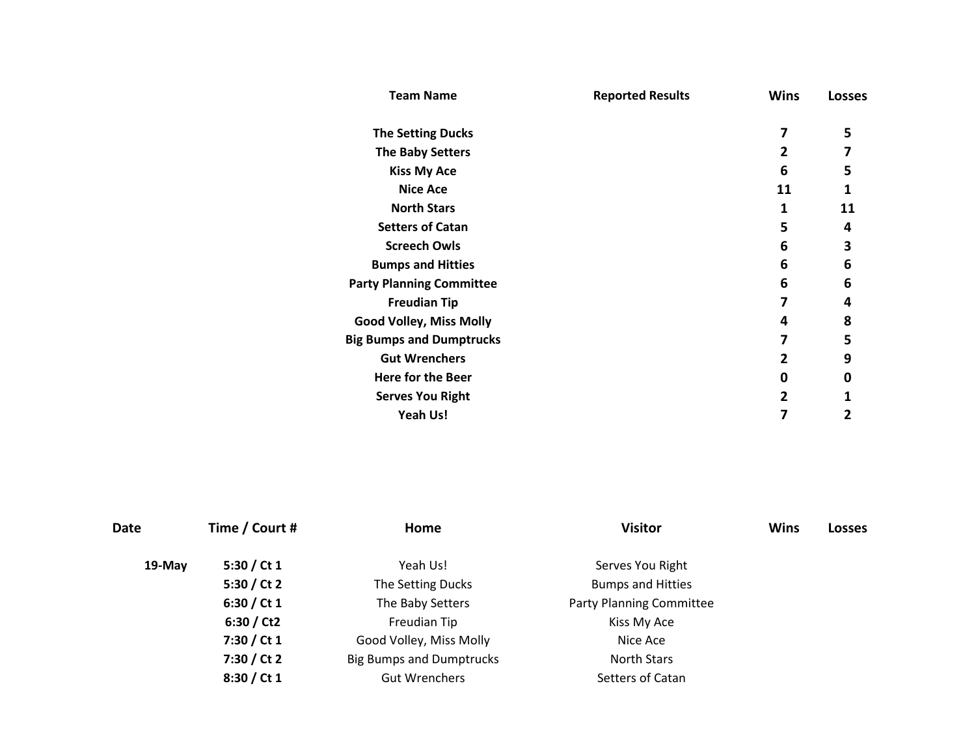| <b>Team Name</b>                | <b>Reported Results</b> | <b>Wins</b>    | <b>Losses</b> |
|---------------------------------|-------------------------|----------------|---------------|
| <b>The Setting Ducks</b>        |                         | 7              | 5             |
| <b>The Baby Setters</b>         |                         | $\overline{2}$ | 7             |
| <b>Kiss My Ace</b>              |                         | 6              | 5             |
| <b>Nice Ace</b>                 |                         | 11             | 1             |
| <b>North Stars</b>              |                         | 1              | 11            |
| <b>Setters of Catan</b>         |                         | 5              | 4             |
| <b>Screech Owls</b>             |                         | 6              | 3             |
| <b>Bumps and Hitties</b>        |                         | 6              | 6             |
| <b>Party Planning Committee</b> |                         | 6              | 6             |
| <b>Freudian Tip</b>             |                         | 7              | 4             |
| <b>Good Volley, Miss Molly</b>  |                         | 4              | 8             |
| <b>Big Bumps and Dumptrucks</b> |                         | 7              | 5             |
| <b>Gut Wrenchers</b>            |                         | $\overline{2}$ | 9             |
| Here for the Beer               |                         | 0              | Ω             |
| <b>Serves You Right</b>         |                         | $\mathbf{2}$   |               |
| <b>Yeah Us!</b>                 |                         | 7              | 2             |

| <b>Date</b> | Time / Court # | Home                            | <b>Visitor</b>                  | <b>Wins</b> | <b>Losses</b> |
|-------------|----------------|---------------------------------|---------------------------------|-------------|---------------|
| 19-May      | 5:30 / Ct $1$  | Yeah Us!                        | Serves You Right                |             |               |
|             | 5:30 / Ct 2    | The Setting Ducks               | <b>Bumps and Hitties</b>        |             |               |
|             | 6:30 / Ct 1    | The Baby Setters                | <b>Party Planning Committee</b> |             |               |
|             | 6:30 / Ct2     | Freudian Tip                    | Kiss My Ace                     |             |               |
|             | 7:30 / Ct 1    | Good Volley, Miss Molly         | Nice Ace                        |             |               |
|             | 7:30 / Ct 2    | <b>Big Bumps and Dumptrucks</b> | <b>North Stars</b>              |             |               |
|             | 8:30 / Ct 1    | <b>Gut Wrenchers</b>            | Setters of Catan                |             |               |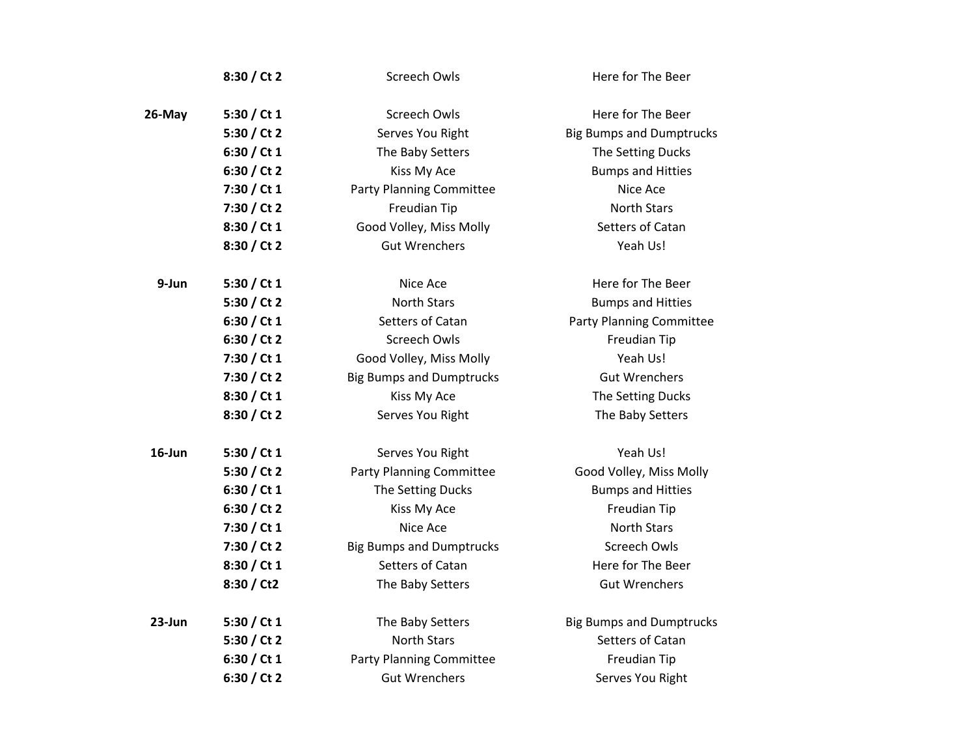|        | 8:30 / Ct 2   | <b>Screech Owls</b>             | Here for The Beer               |
|--------|---------------|---------------------------------|---------------------------------|
| 26-May | 5:30 / Ct $1$ | Screech Owls                    | Here for The Beer               |
|        | 5:30 / Ct 2   | Serves You Right                | <b>Big Bumps and Dumptrucks</b> |
|        | 6:30 / Ct $1$ | The Baby Setters                | The Setting Ducks               |
|        | 6:30 / Ct 2   | Kiss My Ace                     | <b>Bumps and Hitties</b>        |
|        | 7:30 / Ct 1   | <b>Party Planning Committee</b> | Nice Ace                        |
|        | 7:30 / Ct 2   | Freudian Tip                    | <b>North Stars</b>              |
|        | 8:30 / Ct 1   | Good Volley, Miss Molly         | Setters of Catan                |
|        | 8:30 / Ct 2   | <b>Gut Wrenchers</b>            | Yeah Us!                        |
| 9-Jun  | 5:30 / Ct $1$ | Nice Ace                        | Here for The Beer               |
|        | 5:30 / Ct 2   | <b>North Stars</b>              | <b>Bumps and Hitties</b>        |
|        | 6:30 / Ct 1   | Setters of Catan                | <b>Party Planning Committee</b> |
|        | 6:30 / Ct 2   | <b>Screech Owls</b>             | Freudian Tip                    |
|        | 7:30 / Ct 1   | Good Volley, Miss Molly         | Yeah Us!                        |
|        | 7:30 / Ct 2   | <b>Big Bumps and Dumptrucks</b> | <b>Gut Wrenchers</b>            |
|        | 8:30 / Ct 1   | Kiss My Ace                     | The Setting Ducks               |
|        | 8:30 / Ct 2   | Serves You Right                | The Baby Setters                |
| 16-Jun | 5:30 / Ct $1$ | Serves You Right                | Yeah Us!                        |
|        | 5:30 / Ct 2   | <b>Party Planning Committee</b> | Good Volley, Miss Molly         |
|        | 6:30 / Ct $1$ | The Setting Ducks               | <b>Bumps and Hitties</b>        |
|        | 6:30 / Ct 2   | Kiss My Ace                     | Freudian Tip                    |
|        | 7:30 / Ct 1   | Nice Ace                        | <b>North Stars</b>              |
|        | 7:30 / Ct 2   | <b>Big Bumps and Dumptrucks</b> | <b>Screech Owls</b>             |
|        | 8:30 / Ct 1   | Setters of Catan                | Here for The Beer               |
|        | 8:30 / Ct2    | The Baby Setters                | <b>Gut Wrenchers</b>            |
| 23-Jun | 5:30 / Ct $1$ | The Baby Setters                | <b>Big Bumps and Dumptrucks</b> |
|        | 5:30 / Ct 2   | <b>North Stars</b>              | Setters of Catan                |
|        | 6:30 / Ct 1   | <b>Party Planning Committee</b> | Freudian Tip                    |
|        | 6:30 / Ct 2   | <b>Gut Wrenchers</b>            | Serves You Right                |
|        |               |                                 |                                 |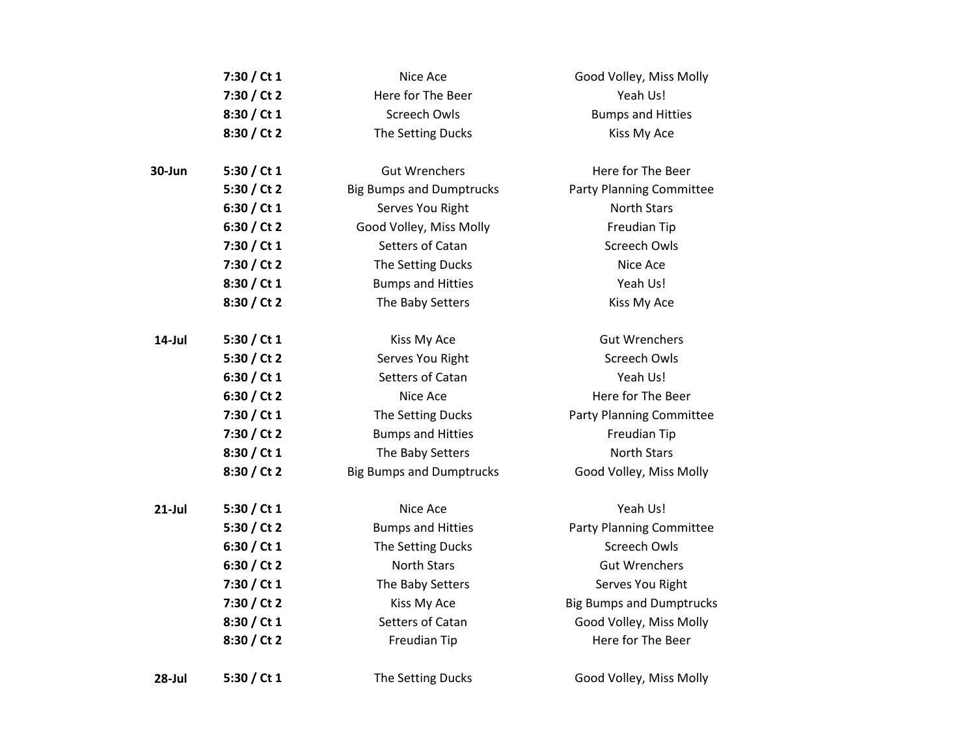|           | 7:30 / Ct 1   | Nice Ace                        | Good Volley, Miss Molly         |
|-----------|---------------|---------------------------------|---------------------------------|
|           | 7:30 / Ct 2   | Here for The Beer               | Yeah Us!                        |
|           | 8:30 / Ct 1   | <b>Screech Owls</b>             | <b>Bumps and Hitties</b>        |
|           | 8:30 / Ct 2   | The Setting Ducks               | Kiss My Ace                     |
| 30-Jun    | 5:30 / Ct $1$ | <b>Gut Wrenchers</b>            | Here for The Beer               |
|           | 5:30 / Ct 2   | <b>Big Bumps and Dumptrucks</b> | <b>Party Planning Committee</b> |
|           | 6:30 / Ct 1   | Serves You Right                | <b>North Stars</b>              |
|           | 6:30 / Ct 2   | Good Volley, Miss Molly         | Freudian Tip                    |
|           | 7:30 / Ct 1   | Setters of Catan                | Screech Owls                    |
|           | 7:30 / Ct 2   | The Setting Ducks               | Nice Ace                        |
|           | 8:30 / Ct 1   | <b>Bumps and Hitties</b>        | Yeah Us!                        |
|           | 8:30 / Ct 2   | The Baby Setters                | Kiss My Ace                     |
| 14-Jul    | 5:30 / Ct $1$ | Kiss My Ace                     | <b>Gut Wrenchers</b>            |
|           | 5:30 / Ct 2   | Serves You Right                | <b>Screech Owls</b>             |
|           | 6:30 / Ct 1   | Setters of Catan                | Yeah Us!                        |
|           | 6:30 / Ct 2   | Nice Ace                        | Here for The Beer               |
|           | 7:30 / Ct 1   | The Setting Ducks               | <b>Party Planning Committee</b> |
|           | 7:30 / Ct 2   | <b>Bumps and Hitties</b>        | Freudian Tip                    |
|           | 8:30 / Ct 1   | The Baby Setters                | <b>North Stars</b>              |
|           | 8:30 / Ct 2   | <b>Big Bumps and Dumptrucks</b> | Good Volley, Miss Molly         |
| $21$ -Jul | 5:30 / Ct $1$ | Nice Ace                        | Yeah Us!                        |
|           | 5:30 / Ct 2   | <b>Bumps and Hitties</b>        | <b>Party Planning Committee</b> |
|           | 6:30 / Ct 1   | The Setting Ducks               | Screech Owls                    |
|           | 6:30 / Ct 2   | <b>North Stars</b>              | <b>Gut Wrenchers</b>            |
|           | 7:30 / Ct 1   | The Baby Setters                | Serves You Right                |
|           | 7:30 / Ct 2   | Kiss My Ace                     | <b>Big Bumps and Dumptrucks</b> |
|           | 8:30 / Ct 1   | Setters of Catan                | Good Volley, Miss Molly         |
|           | 8:30 / Ct 2   | Freudian Tip                    | Here for The Beer               |
| 28-Jul    | 5:30 / Ct 1   | The Setting Ducks               | Good Volley, Miss Molly         |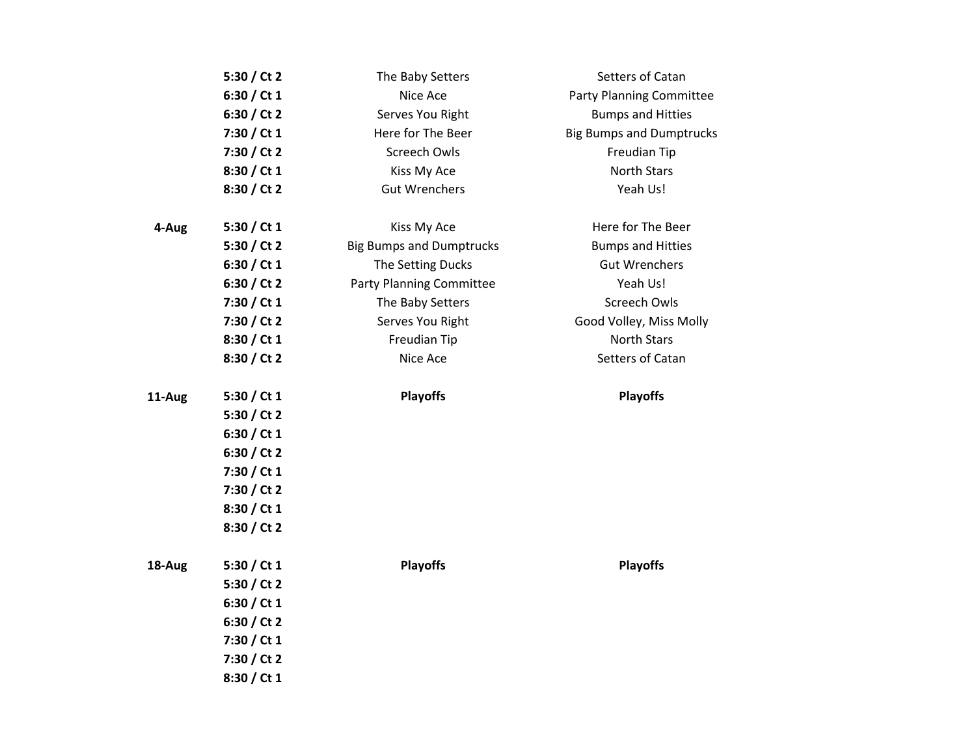|        | 5:30 / Ct 2   | The Baby Setters                | Setters of Catan                |
|--------|---------------|---------------------------------|---------------------------------|
|        | 6:30 / Ct 1   | Nice Ace                        | <b>Party Planning Committee</b> |
|        | 6:30 / Ct 2   | Serves You Right                | <b>Bumps and Hitties</b>        |
|        | 7:30 / Ct 1   | Here for The Beer               | <b>Big Bumps and Dumptrucks</b> |
|        | 7:30 / Ct 2   | <b>Screech Owls</b>             | Freudian Tip                    |
|        | 8:30 / Ct 1   | Kiss My Ace                     | <b>North Stars</b>              |
|        | 8:30 / Ct 2   | <b>Gut Wrenchers</b>            | Yeah Us!                        |
| 4-Aug  | 5:30 / Ct $1$ | Kiss My Ace                     | Here for The Beer               |
|        | 5:30 / Ct 2   | <b>Big Bumps and Dumptrucks</b> | <b>Bumps and Hitties</b>        |
|        | 6:30 / Ct 1   | The Setting Ducks               | <b>Gut Wrenchers</b>            |
|        | 6:30 / Ct 2   | <b>Party Planning Committee</b> | Yeah Us!                        |
|        | 7:30 / Ct 1   | The Baby Setters                | Screech Owls                    |
|        | 7:30 / Ct 2   | Serves You Right                | Good Volley, Miss Molly         |
|        | 8:30 / Ct 1   | Freudian Tip                    | <b>North Stars</b>              |
|        | 8:30 / Ct 2   | Nice Ace                        | Setters of Catan                |
| 11-Aug | 5:30 / Ct $1$ | <b>Playoffs</b>                 | <b>Playoffs</b>                 |
|        | 5:30 / Ct 2   |                                 |                                 |
|        | 6:30 / Ct 1   |                                 |                                 |
|        | 6:30 / Ct 2   |                                 |                                 |
|        | 7:30 / Ct 1   |                                 |                                 |
|        | 7:30 / Ct 2   |                                 |                                 |
|        | 8:30 / Ct 1   |                                 |                                 |
|        | 8:30 / Ct 2   |                                 |                                 |
| 18-Aug | 5:30 / Ct $1$ | <b>Playoffs</b>                 | <b>Playoffs</b>                 |
|        | 5:30 / Ct 2   |                                 |                                 |
|        | 6:30 / Ct 1   |                                 |                                 |
|        | 6:30 / Ct 2   |                                 |                                 |
|        | 7:30 / Ct 1   |                                 |                                 |
|        | 7:30 / Ct 2   |                                 |                                 |
|        | 8:30 / Ct 1   |                                 |                                 |